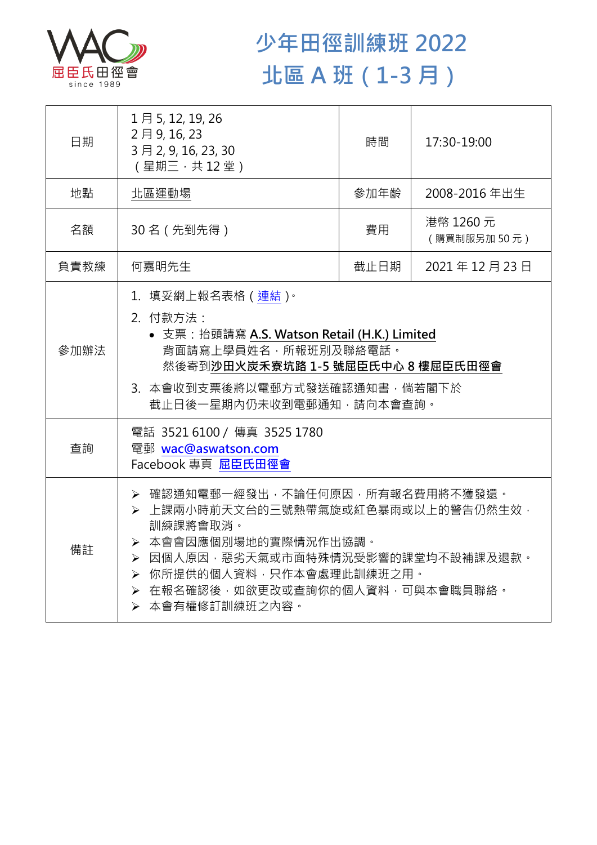

## **少年田徑訓練班 2022 北區 A 班(1-3 月)**

| 日期   | 1月5, 12, 19, 26<br>2月9,16,23<br>3月2, 9, 16, 23, 30<br>(星期三,共12堂)                                                                                                                                                                      | 時間   | 17:30-19:00              |  |
|------|---------------------------------------------------------------------------------------------------------------------------------------------------------------------------------------------------------------------------------------|------|--------------------------|--|
| 地點   | 北區運動場                                                                                                                                                                                                                                 | 參加年齡 | 2008-2016年出生             |  |
| 名額   | 30名 (先到先得)                                                                                                                                                                                                                            | 費用   | 港幣 1260 元<br>(購買制服另加50元) |  |
| 負責教練 | 何嘉明先生                                                                                                                                                                                                                                 | 截止日期 | 2021年12月23日              |  |
| 參加辦法 | 1.填妥網上報名表格(連結) <sup>。</sup><br>2. 付款方法:<br>• 支票: 抬頭請寫 A.S. Watson Retail (H.K.) Limited<br>背面請寫上學員姓名,所報班別及聯絡電話。<br>然後寄到沙田火炭禾寮坑路 1-5 號屈臣氏中心 8 樓屈臣氏田徑會<br>3. 本會收到支票後將以電郵方式發送確認通知書,倘若閣下於<br>截止日後一星期內仍未收到電郵通知,請向本會查詢。                     |      |                          |  |
| 查詢   | 電話 3521 6100 / 傳真 3525 1780<br>電郵 wac@aswatson.com<br>Facebook 專頁 屈臣氏田徑會                                                                                                                                                              |      |                          |  |
| 備註   | ▶ 確認通知電郵一經發出,不論任何原因,所有報名費用將不獲發還。<br>> 上課兩小時前天文台的三號熱帶氣旋或紅色暴雨或以上的警告仍然生效,<br>訓練課將會取消。<br>> 本會會因應個別場地的實際情況作出協調。<br>▶ 因個人原因,惡劣天氣或市面特殊情況受影響的課堂均不設補課及退款。<br>▶ 你所提供的個人資料,只作本會處理此訓練班之用。<br>▶ 在報名確認後,如欲更改或查詢你的個人資料,可與本會職員聯絡。<br>> 本會有權修訂訓練班之內容。 |      |                          |  |